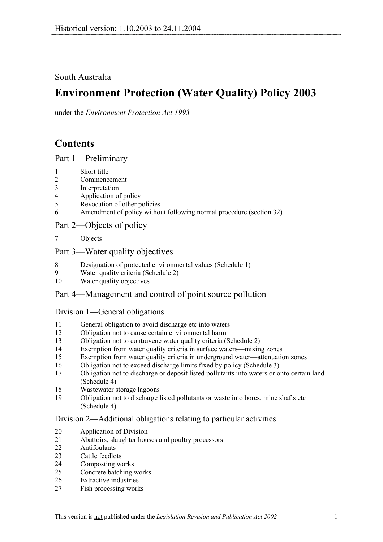South Australia

# **Environment Protection (Water Quality) Policy 2003**

under the *Environment Protection Act 1993*

# **Contents**

Part 1—Preliminary

- 1 Short title
- 2 Commencement
- 3 Interpretation
- 4 Application of policy
- 5 Revocation of other policies
- 6 Amendment of policy without following normal procedure (section 32)

## Part 2—Objects of policy

7 Objects

## Part 3—Water quality objectives

- 8 Designation of protected environmental values (Schedule 1)
- 9 Water quality criteria (Schedule 2)
- 10 Water quality objectives

## Part 4—Management and control of point source pollution

## Division 1—General obligations

- 11 General obligation to avoid discharge etc into waters
- 12 Obligation not to cause certain environmental harm
- 13 Obligation not to contravene water quality criteria (Schedule 2)
- 14 Exemption from water quality criteria in surface waters—mixing zones
- 15 Exemption from water quality criteria in underground water—attenuation zones
- 16 Obligation not to exceed discharge limits fixed by policy (Schedule 3)
- 17 Obligation not to discharge or deposit listed pollutants into waters or onto certain land (Schedule 4)
- 18 Wastewater storage lagoons
- 19 Obligation not to discharge listed pollutants or waste into bores, mine shafts etc (Schedule 4)

#### Division 2—Additional obligations relating to particular activities

- 20 Application of Division
- 21 Abattoirs, slaughter houses and poultry processors
- 22 Antifoulants
- 23 Cattle feedlots
- 24 Composting works
- 25 Concrete batching works
- 26 Extractive industries
- 27 Fish processing works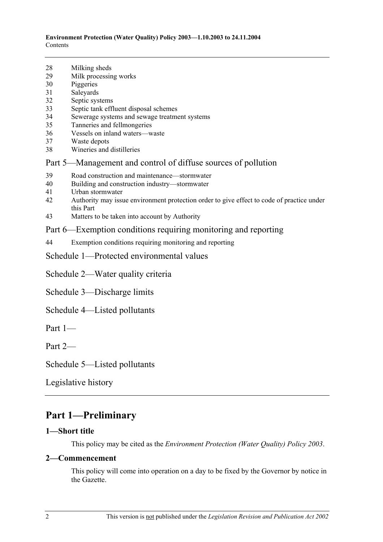- 28 Milking sheds
- 29 Milk processing works
- 30 Piggeries
- 31 Saleyards
- 32 Septic systems
- 33 Septic tank effluent disposal schemes
- 34 Sewerage systems and sewage treatment systems
- 35 Tanneries and fellmongeries
- 36 Vessels on inland waters—waste
- 37 Waste depots
- 38 Wineries and distilleries

## Part 5—Management and control of diffuse sources of pollution

- 39 Road construction and maintenance—stormwater
- 40 Building and construction industry—stormwater
- 41 Urban stormwater
- 42 Authority may issue environment protection order to give effect to code of practice under this Part
- 43 Matters to be taken into account by Authority

## Part 6—Exemption conditions requiring monitoring and reporting

44 Exemption conditions requiring monitoring and reporting

Schedule 1—Protected environmental values

Schedule 2—Water quality criteria

Schedule 3—Discharge limits

Schedule 4—Listed pollutants

Part 1—

Part 2—

Schedule 5—Listed pollutants

Legislative history

# **Part 1—Preliminary**

## **1—Short title**

This policy may be cited as the *Environment Protection (Water Quality) Policy 2003*.

#### **2—Commencement**

This policy will come into operation on a day to be fixed by the Governor by notice in the Gazette.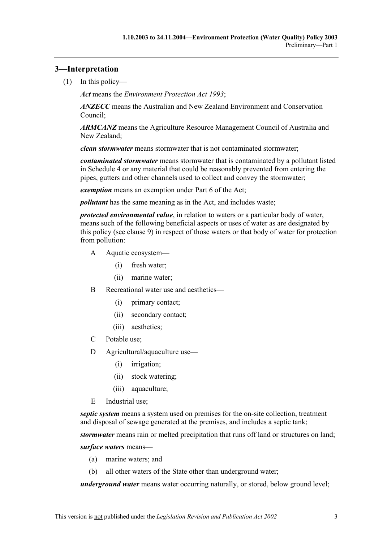## **3—Interpretation**

(1) In this policy—

*Act* means the *Environment Protection Act 1993*;

*ANZECC* means the Australian and New Zealand Environment and Conservation Council;

*ARMCANZ* means the Agriculture Resource Management Council of Australia and New Zealand;

*clean stormwater* means stormwater that is not contaminated stormwater;

*contaminated stormwater* means stormwater that is contaminated by a pollutant listed in Schedule 4 or any material that could be reasonably prevented from entering the pipes, gutters and other channels used to collect and convey the stormwater;

*exemption* means an exemption under Part 6 of the Act;

*pollutant* has the same meaning as in the Act, and includes waste;

*protected environmental value*, in relation to waters or a particular body of water, means such of the following beneficial aspects or uses of water as are designated by this policy (see clause 9) in respect of those waters or that body of water for protection from pollution:

- A Aquatic ecosystem—
	- (i) fresh water;
	- (ii) marine water;
- B Recreational water use and aesthetics—
	- (i) primary contact;
	- (ii) secondary contact;
	- (iii) aesthetics;
- C Potable use;
- D Agricultural/aquaculture use—
	- (i) irrigation;
	- (ii) stock watering;
	- (iii) aquaculture;
- E Industrial use;

*septic system* means a system used on premises for the on-site collection, treatment and disposal of sewage generated at the premises, and includes a septic tank;

*stormwater* means rain or melted precipitation that runs off land or structures on land;

*surface waters* means—

- (a) marine waters; and
- (b) all other waters of the State other than underground water;

*underground water* means water occurring naturally, or stored, below ground level;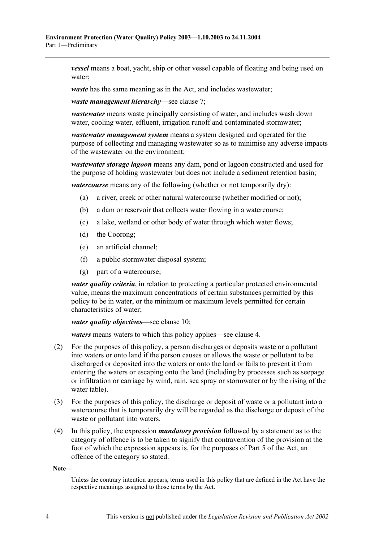*vessel* means a boat, yacht, ship or other vessel capable of floating and being used on water;

*waste* has the same meaning as in the Act, and includes wastewater;

*waste management hierarchy*—see clause 7;

*wastewater* means waste principally consisting of water, and includes wash down water, cooling water, effluent, irrigation runoff and contaminated stormwater;

*wastewater management system* means a system designed and operated for the purpose of collecting and managing wastewater so as to minimise any adverse impacts of the wastewater on the environment;

*wastewater storage lagoon* means any dam, pond or lagoon constructed and used for the purpose of holding wastewater but does not include a sediment retention basin;

*watercourse* means any of the following (whether or not temporarily dry):

- (a) a river, creek or other natural watercourse (whether modified or not);
- (b) a dam or reservoir that collects water flowing in a watercourse;
- (c) a lake, wetland or other body of water through which water flows;
- (d) the Coorong;
- (e) an artificial channel;
- (f) a public stormwater disposal system;
- (g) part of a watercourse;

*water quality criteria*, in relation to protecting a particular protected environmental value, means the maximum concentrations of certain substances permitted by this policy to be in water, or the minimum or maximum levels permitted for certain characteristics of water;

*water quality objectives*—see clause 10;

*waters* means waters to which this policy applies—see clause 4.

- (2) For the purposes of this policy, a person discharges or deposits waste or a pollutant into waters or onto land if the person causes or allows the waste or pollutant to be discharged or deposited into the waters or onto the land or fails to prevent it from entering the waters or escaping onto the land (including by processes such as seepage or infiltration or carriage by wind, rain, sea spray or stormwater or by the rising of the water table).
- (3) For the purposes of this policy, the discharge or deposit of waste or a pollutant into a watercourse that is temporarily dry will be regarded as the discharge or deposit of the waste or pollutant into waters.
- (4) In this policy, the expression *mandatory provision* followed by a statement as to the category of offence is to be taken to signify that contravention of the provision at the foot of which the expression appears is, for the purposes of Part 5 of the Act, an offence of the category so stated.

**Note—** 

Unless the contrary intention appears, terms used in this policy that are defined in the Act have the respective meanings assigned to those terms by the Act.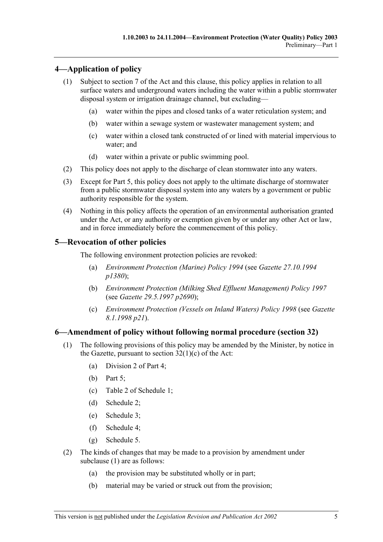## **4—Application of policy**

- (1) Subject to section 7 of the Act and this clause, this policy applies in relation to all surface waters and underground waters including the water within a public stormwater disposal system or irrigation drainage channel, but excluding—
	- (a) water within the pipes and closed tanks of a water reticulation system; and
	- (b) water within a sewage system or wastewater management system; and
	- (c) water within a closed tank constructed of or lined with material impervious to water; and
	- (d) water within a private or public swimming pool.
- (2) This policy does not apply to the discharge of clean stormwater into any waters.
- (3) Except for Part 5, this policy does not apply to the ultimate discharge of stormwater from a public stormwater disposal system into any waters by a government or public authority responsible for the system.
- (4) Nothing in this policy affects the operation of an environmental authorisation granted under the Act, or any authority or exemption given by or under any other Act or law, and in force immediately before the commencement of this policy.

## **5—Revocation of other policies**

The following environment protection policies are revoked:

- (a) *Environment Protection (Marine) Policy 1994* (see *Gazette 27.10.1994 p1380*);
- (b) *Environment Protection (Milking Shed Effluent Management) Policy 1997* (see *Gazette 29.5.1997 p2690*);
- (c) *Environment Protection (Vessels on Inland Waters) Policy 1998* (see *Gazette 8.1.1998 p21*).

## **6—Amendment of policy without following normal procedure (section 32)**

- (1) The following provisions of this policy may be amended by the Minister, by notice in the Gazette, pursuant to section  $32(1)(c)$  of the Act:
	- (a) Division 2 of Part 4;
	- (b) Part 5;
	- (c) Table 2 of Schedule 1;
	- (d) Schedule 2;
	- (e) Schedule 3;
	- (f) Schedule 4;
	- (g) Schedule 5.
- (2) The kinds of changes that may be made to a provision by amendment under subclause (1) are as follows:
	- (a) the provision may be substituted wholly or in part;
	- (b) material may be varied or struck out from the provision;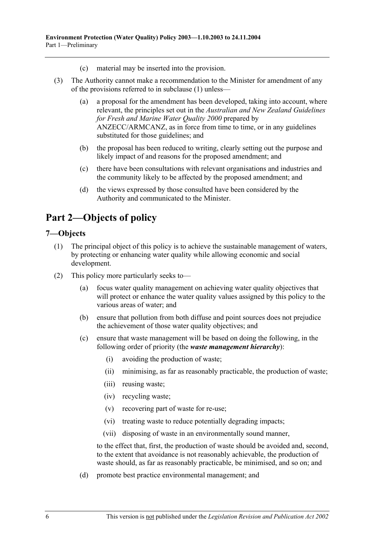- (c) material may be inserted into the provision.
- (3) The Authority cannot make a recommendation to the Minister for amendment of any of the provisions referred to in subclause (1) unless—
	- (a) a proposal for the amendment has been developed, taking into account, where relevant, the principles set out in the *Australian and New Zealand Guidelines for Fresh and Marine Water Quality 2000* prepared by ANZECC/ARMCANZ, as in force from time to time, or in any guidelines substituted for those guidelines; and
	- (b) the proposal has been reduced to writing, clearly setting out the purpose and likely impact of and reasons for the proposed amendment; and
	- (c) there have been consultations with relevant organisations and industries and the community likely to be affected by the proposed amendment; and
	- (d) the views expressed by those consulted have been considered by the Authority and communicated to the Minister.

# **Part 2—Objects of policy**

#### **7—Objects**

- (1) The principal object of this policy is to achieve the sustainable management of waters, by protecting or enhancing water quality while allowing economic and social development.
- (2) This policy more particularly seeks to—
	- (a) focus water quality management on achieving water quality objectives that will protect or enhance the water quality values assigned by this policy to the various areas of water; and
	- (b) ensure that pollution from both diffuse and point sources does not prejudice the achievement of those water quality objectives; and
	- (c) ensure that waste management will be based on doing the following, in the following order of priority (the *waste management hierarchy*):
		- (i) avoiding the production of waste;
		- (ii) minimising, as far as reasonably practicable, the production of waste;
		- (iii) reusing waste;
		- (iv) recycling waste;
		- (v) recovering part of waste for re-use;
		- (vi) treating waste to reduce potentially degrading impacts;
		- (vii) disposing of waste in an environmentally sound manner,

to the effect that, first, the production of waste should be avoided and, second, to the extent that avoidance is not reasonably achievable, the production of waste should, as far as reasonably practicable, be minimised, and so on; and

(d) promote best practice environmental management; and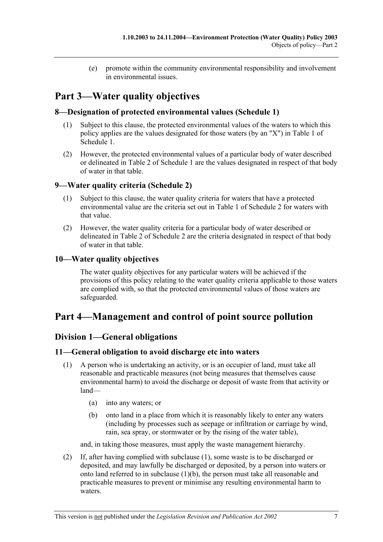(e) promote within the community environmental responsibility and involvement in environmental issues.

# **Part 3—Water quality objectives**

## **8—Designation of protected environmental values (Schedule 1)**

- (1) Subject to this clause, the protected environmental values of the waters to which this policy applies are the values designated for those waters (by an "X") in Table 1 of Schedule 1.
- (2) However, the protected environmental values of a particular body of water described or delineated in Table 2 of Schedule 1 are the values designated in respect of that body of water in that table.

## **9—Water quality criteria (Schedule 2)**

- (1) Subject to this clause, the water quality criteria for waters that have a protected environmental value are the criteria set out in Table 1 of Schedule 2 for waters with that value.
- (2) However, the water quality criteria for a particular body of water described or delineated in Table 2 of Schedule 2 are the criteria designated in respect of that body of water in that table.

## **10—Water quality objectives**

The water quality objectives for any particular waters will be achieved if the provisions of this policy relating to the water quality criteria applicable to those waters are complied with, so that the protected environmental values of those waters are safeguarded.

## **Part 4—Management and control of point source pollution**

## **Division 1—General obligations**

## **11—General obligation to avoid discharge etc into waters**

- (1) A person who is undertaking an activity, or is an occupier of land, must take all reasonable and practicable measures (not being measures that themselves cause environmental harm) to avoid the discharge or deposit of waste from that activity or land—
	- (a) into any waters; or
	- (b) onto land in a place from which it is reasonably likely to enter any waters (including by processes such as seepage or infiltration or carriage by wind, rain, sea spray, or stormwater or by the rising of the water table),

and, in taking those measures, must apply the waste management hierarchy.

 (2) If, after having complied with subclause (1), some waste is to be discharged or deposited, and may lawfully be discharged or deposited, by a person into waters or onto land referred to in subclause (1)(b), the person must take all reasonable and practicable measures to prevent or minimise any resulting environmental harm to waters.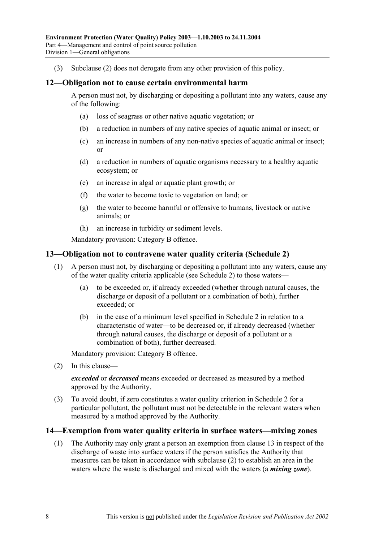(3) Subclause (2) does not derogate from any other provision of this policy.

#### **12—Obligation not to cause certain environmental harm**

A person must not, by discharging or depositing a pollutant into any waters, cause any of the following:

- (a) loss of seagrass or other native aquatic vegetation; or
- (b) a reduction in numbers of any native species of aquatic animal or insect; or
- (c) an increase in numbers of any non-native species of aquatic animal or insect; or
- (d) a reduction in numbers of aquatic organisms necessary to a healthy aquatic ecosystem; or
- (e) an increase in algal or aquatic plant growth; or
- (f) the water to become toxic to vegetation on land; or
- (g) the water to become harmful or offensive to humans, livestock or native animals; or
- (h) an increase in turbidity or sediment levels.

Mandatory provision: Category B offence.

#### **13—Obligation not to contravene water quality criteria (Schedule 2)**

- (1) A person must not, by discharging or depositing a pollutant into any waters, cause any of the water quality criteria applicable (see Schedule 2) to those waters—
	- (a) to be exceeded or, if already exceeded (whether through natural causes, the discharge or deposit of a pollutant or a combination of both), further exceeded; or
	- (b) in the case of a minimum level specified in Schedule 2 in relation to a characteristic of water—to be decreased or, if already decreased (whether through natural causes, the discharge or deposit of a pollutant or a combination of both), further decreased.

Mandatory provision: Category B offence.

(2) In this clause—

*exceeded* or *decreased* means exceeded or decreased as measured by a method approved by the Authority.

 (3) To avoid doubt, if zero constitutes a water quality criterion in Schedule 2 for a particular pollutant, the pollutant must not be detectable in the relevant waters when measured by a method approved by the Authority.

#### **14—Exemption from water quality criteria in surface waters—mixing zones**

 (1) The Authority may only grant a person an exemption from clause 13 in respect of the discharge of waste into surface waters if the person satisfies the Authority that measures can be taken in accordance with subclause (2) to establish an area in the waters where the waste is discharged and mixed with the waters (a *mixing zone*).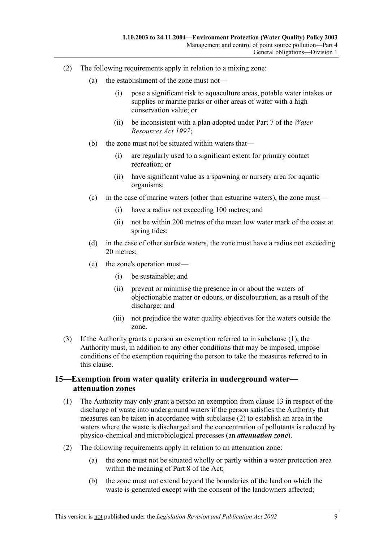- (2) The following requirements apply in relation to a mixing zone:
	- (a) the establishment of the zone must not—
		- (i) pose a significant risk to aquaculture areas, potable water intakes or supplies or marine parks or other areas of water with a high conservation value; or
		- (ii) be inconsistent with a plan adopted under Part 7 of the *Water Resources Act 1997*;
	- (b) the zone must not be situated within waters that—
		- (i) are regularly used to a significant extent for primary contact recreation; or
		- (ii) have significant value as a spawning or nursery area for aquatic organisms;
	- (c) in the case of marine waters (other than estuarine waters), the zone must—
		- (i) have a radius not exceeding 100 metres; and
		- (ii) not be within 200 metres of the mean low water mark of the coast at spring tides;
	- (d) in the case of other surface waters, the zone must have a radius not exceeding 20 metres;
	- (e) the zone's operation must—
		- (i) be sustainable; and
		- (ii) prevent or minimise the presence in or about the waters of objectionable matter or odours, or discolouration, as a result of the discharge; and
		- (iii) not prejudice the water quality objectives for the waters outside the zone.
- (3) If the Authority grants a person an exemption referred to in subclause (1), the Authority must, in addition to any other conditions that may be imposed, impose conditions of the exemption requiring the person to take the measures referred to in this clause.

### **15—Exemption from water quality criteria in underground water attenuation zones**

- (1) The Authority may only grant a person an exemption from clause 13 in respect of the discharge of waste into underground waters if the person satisfies the Authority that measures can be taken in accordance with subclause (2) to establish an area in the waters where the waste is discharged and the concentration of pollutants is reduced by physico-chemical and microbiological processes (an *attenuation zone*).
- (2) The following requirements apply in relation to an attenuation zone:
	- (a) the zone must not be situated wholly or partly within a water protection area within the meaning of Part 8 of the Act;
	- (b) the zone must not extend beyond the boundaries of the land on which the waste is generated except with the consent of the landowners affected: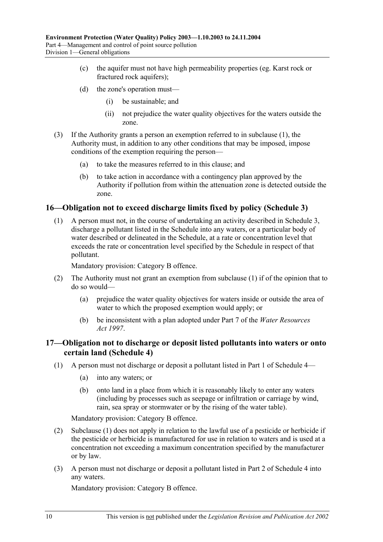- (c) the aquifer must not have high permeability properties (eg. Karst rock or fractured rock aquifers);
- (d) the zone's operation must—
	- (i) be sustainable; and
	- (ii) not prejudice the water quality objectives for the waters outside the zone.
- (3) If the Authority grants a person an exemption referred to in subclause (1), the Authority must, in addition to any other conditions that may be imposed, impose conditions of the exemption requiring the person—
	- (a) to take the measures referred to in this clause; and
	- (b) to take action in accordance with a contingency plan approved by the Authority if pollution from within the attenuation zone is detected outside the zone.

#### **16—Obligation not to exceed discharge limits fixed by policy (Schedule 3)**

 (1) A person must not, in the course of undertaking an activity described in Schedule 3, discharge a pollutant listed in the Schedule into any waters, or a particular body of water described or delineated in the Schedule, at a rate or concentration level that exceeds the rate or concentration level specified by the Schedule in respect of that pollutant.

Mandatory provision: Category B offence.

- (2) The Authority must not grant an exemption from subclause (1) if of the opinion that to do so would—
	- (a) prejudice the water quality objectives for waters inside or outside the area of water to which the proposed exemption would apply; or
	- (b) be inconsistent with a plan adopted under Part 7 of the *Water Resources Act 1997*.

#### **17—Obligation not to discharge or deposit listed pollutants into waters or onto certain land (Schedule 4)**

- (1) A person must not discharge or deposit a pollutant listed in Part 1 of Schedule 4—
	- (a) into any waters; or
	- (b) onto land in a place from which it is reasonably likely to enter any waters (including by processes such as seepage or infiltration or carriage by wind, rain, sea spray or stormwater or by the rising of the water table).

Mandatory provision: Category B offence.

- (2) Subclause (1) does not apply in relation to the lawful use of a pesticide or herbicide if the pesticide or herbicide is manufactured for use in relation to waters and is used at a concentration not exceeding a maximum concentration specified by the manufacturer or by law.
- (3) A person must not discharge or deposit a pollutant listed in Part 2 of Schedule 4 into any waters.

Mandatory provision: Category B offence.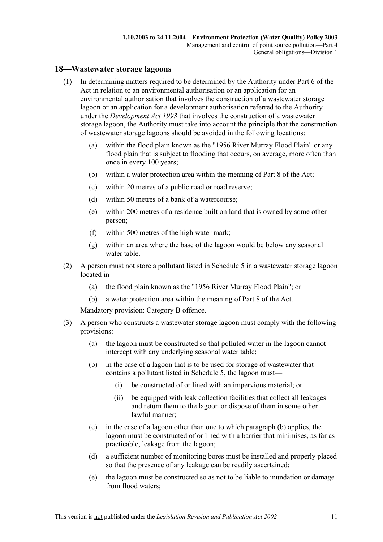#### **18—Wastewater storage lagoons**

- (1) In determining matters required to be determined by the Authority under Part 6 of the Act in relation to an environmental authorisation or an application for an environmental authorisation that involves the construction of a wastewater storage lagoon or an application for a development authorisation referred to the Authority under the *Development Act 1993* that involves the construction of a wastewater storage lagoon, the Authority must take into account the principle that the construction of wastewater storage lagoons should be avoided in the following locations:
	- (a) within the flood plain known as the "1956 River Murray Flood Plain" or any flood plain that is subject to flooding that occurs, on average, more often than once in every 100 years;
	- (b) within a water protection area within the meaning of Part 8 of the Act;
	- (c) within 20 metres of a public road or road reserve;
	- (d) within 50 metres of a bank of a watercourse;
	- (e) within 200 metres of a residence built on land that is owned by some other person;
	- (f) within 500 metres of the high water mark;
	- (g) within an area where the base of the lagoon would be below any seasonal water table.
- (2) A person must not store a pollutant listed in Schedule 5 in a wastewater storage lagoon located in—
	- (a) the flood plain known as the "1956 River Murray Flood Plain"; or
	- (b) a water protection area within the meaning of Part 8 of the Act.

Mandatory provision: Category B offence.

- (3) A person who constructs a wastewater storage lagoon must comply with the following provisions:
	- (a) the lagoon must be constructed so that polluted water in the lagoon cannot intercept with any underlying seasonal water table;
	- (b) in the case of a lagoon that is to be used for storage of wastewater that contains a pollutant listed in Schedule 5, the lagoon must—
		- (i) be constructed of or lined with an impervious material; or
		- (ii) be equipped with leak collection facilities that collect all leakages and return them to the lagoon or dispose of them in some other lawful manner;
	- (c) in the case of a lagoon other than one to which paragraph (b) applies, the lagoon must be constructed of or lined with a barrier that minimises, as far as practicable, leakage from the lagoon;
	- (d) a sufficient number of monitoring bores must be installed and properly placed so that the presence of any leakage can be readily ascertained;
	- (e) the lagoon must be constructed so as not to be liable to inundation or damage from flood waters;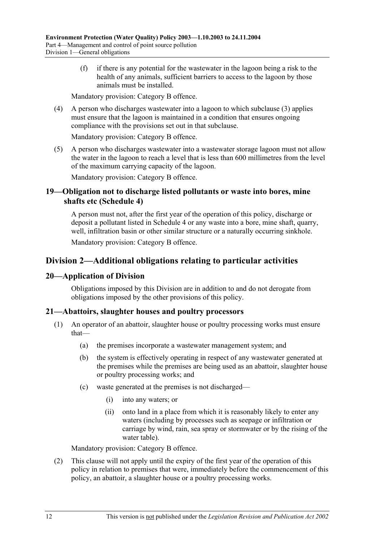(f) if there is any potential for the wastewater in the lagoon being a risk to the health of any animals, sufficient barriers to access to the lagoon by those animals must be installed.

Mandatory provision: Category B offence.

 (4) A person who discharges wastewater into a lagoon to which subclause (3) applies must ensure that the lagoon is maintained in a condition that ensures ongoing compliance with the provisions set out in that subclause.

Mandatory provision: Category B offence.

 (5) A person who discharges wastewater into a wastewater storage lagoon must not allow the water in the lagoon to reach a level that is less than 600 millimetres from the level of the maximum carrying capacity of the lagoon.

Mandatory provision: Category B offence.

### **19—Obligation not to discharge listed pollutants or waste into bores, mine shafts etc (Schedule 4)**

A person must not, after the first year of the operation of this policy, discharge or deposit a pollutant listed in Schedule 4 or any waste into a bore, mine shaft, quarry, well, infiltration basin or other similar structure or a naturally occurring sinkhole.

Mandatory provision: Category B offence.

## **Division 2—Additional obligations relating to particular activities**

#### **20—Application of Division**

Obligations imposed by this Division are in addition to and do not derogate from obligations imposed by the other provisions of this policy.

#### **21—Abattoirs, slaughter houses and poultry processors**

- (1) An operator of an abattoir, slaughter house or poultry processing works must ensure that—
	- (a) the premises incorporate a wastewater management system; and
	- (b) the system is effectively operating in respect of any wastewater generated at the premises while the premises are being used as an abattoir, slaughter house or poultry processing works; and
	- (c) waste generated at the premises is not discharged—
		- (i) into any waters; or
		- (ii) onto land in a place from which it is reasonably likely to enter any waters (including by processes such as seepage or infiltration or carriage by wind, rain, sea spray or stormwater or by the rising of the water table).

Mandatory provision: Category B offence.

 (2) This clause will not apply until the expiry of the first year of the operation of this policy in relation to premises that were, immediately before the commencement of this policy, an abattoir, a slaughter house or a poultry processing works.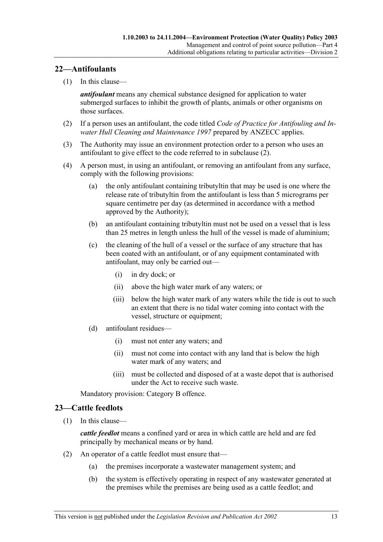### **22—Antifoulants**

(1) In this clause—

*antifoulant* means any chemical substance designed for application to water submerged surfaces to inhibit the growth of plants, animals or other organisms on those surfaces.

- (2) If a person uses an antifoulant, the code titled *Code of Practice for Antifouling and Inwater Hull Cleaning and Maintenance 1997* prepared by ANZECC applies.
- (3) The Authority may issue an environment protection order to a person who uses an antifoulant to give effect to the code referred to in subclause (2).
- (4) A person must, in using an antifoulant, or removing an antifoulant from any surface, comply with the following provisions:
	- (a) the only antifoulant containing tributyltin that may be used is one where the release rate of tributyltin from the antifoulant is less than 5 micrograms per square centimetre per day (as determined in accordance with a method approved by the Authority);
	- (b) an antifoulant containing tributyltin must not be used on a vessel that is less than 25 metres in length unless the hull of the vessel is made of aluminium;
	- (c) the cleaning of the hull of a vessel or the surface of any structure that has been coated with an antifoulant, or of any equipment contaminated with antifoulant, may only be carried out—
		- (i) in dry dock; or
		- (ii) above the high water mark of any waters; or
		- (iii) below the high water mark of any waters while the tide is out to such an extent that there is no tidal water coming into contact with the vessel, structure or equipment;
	- (d) antifoulant residues—
		- (i) must not enter any waters; and
		- (ii) must not come into contact with any land that is below the high water mark of any waters; and
		- (iii) must be collected and disposed of at a waste depot that is authorised under the Act to receive such waste.

Mandatory provision: Category B offence.

#### **23—Cattle feedlots**

(1) In this clause—

*cattle feedlot* means a confined yard or area in which cattle are held and are fed principally by mechanical means or by hand.

- (2) An operator of a cattle feedlot must ensure that—
	- (a) the premises incorporate a wastewater management system; and
	- (b) the system is effectively operating in respect of any wastewater generated at the premises while the premises are being used as a cattle feedlot; and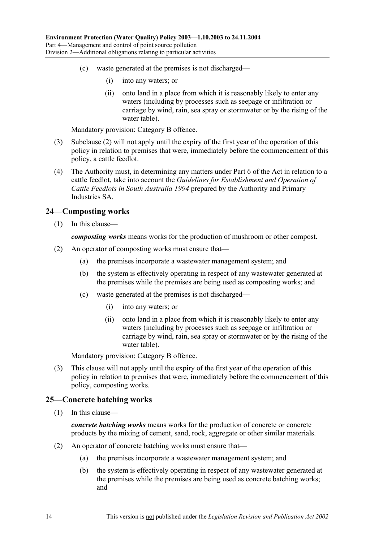- (c) waste generated at the premises is not discharged—
	- (i) into any waters; or
	- (ii) onto land in a place from which it is reasonably likely to enter any waters (including by processes such as seepage or infiltration or carriage by wind, rain, sea spray or stormwater or by the rising of the water table).

Mandatory provision: Category B offence.

- (3) Subclause (2) will not apply until the expiry of the first year of the operation of this policy in relation to premises that were, immediately before the commencement of this policy, a cattle feedlot.
- (4) The Authority must, in determining any matters under Part 6 of the Act in relation to a cattle feedlot, take into account the *Guidelines for Establishment and Operation of Cattle Feedlots in South Australia 1994* prepared by the Authority and Primary Industries SA.

#### **24—Composting works**

(1) In this clause—

*composting works* means works for the production of mushroom or other compost.

- (2) An operator of composting works must ensure that—
	- (a) the premises incorporate a wastewater management system; and
	- (b) the system is effectively operating in respect of any wastewater generated at the premises while the premises are being used as composting works; and
	- (c) waste generated at the premises is not discharged—
		- (i) into any waters; or
		- (ii) onto land in a place from which it is reasonably likely to enter any waters (including by processes such as seepage or infiltration or carriage by wind, rain, sea spray or stormwater or by the rising of the water table).

Mandatory provision: Category B offence.

 (3) This clause will not apply until the expiry of the first year of the operation of this policy in relation to premises that were, immediately before the commencement of this policy, composting works.

#### **25—Concrete batching works**

(1) In this clause—

*concrete batching works* means works for the production of concrete or concrete products by the mixing of cement, sand, rock, aggregate or other similar materials.

- (2) An operator of concrete batching works must ensure that—
	- (a) the premises incorporate a wastewater management system; and
	- (b) the system is effectively operating in respect of any wastewater generated at the premises while the premises are being used as concrete batching works; and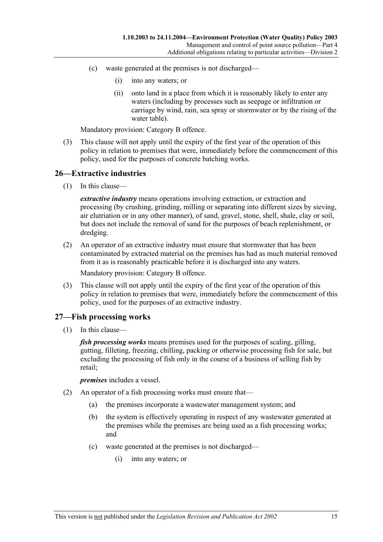- (c) waste generated at the premises is not discharged—
	- (i) into any waters; or
	- (ii) onto land in a place from which it is reasonably likely to enter any waters (including by processes such as seepage or infiltration or carriage by wind, rain, sea spray or stormwater or by the rising of the water table).

Mandatory provision: Category B offence.

 (3) This clause will not apply until the expiry of the first year of the operation of this policy in relation to premises that were, immediately before the commencement of this policy, used for the purposes of concrete batching works.

#### **26—Extractive industries**

(1) In this clause—

*extractive industry* means operations involving extraction, or extraction and processing (by crushing, grinding, milling or separating into different sizes by sieving, air elutriation or in any other manner), of sand, gravel, stone, shell, shale, clay or soil, but does not include the removal of sand for the purposes of beach replenishment, or dredging.

 (2) An operator of an extractive industry must ensure that stormwater that has been contaminated by extracted material on the premises has had as much material removed from it as is reasonably practicable before it is discharged into any waters.

Mandatory provision: Category B offence.

 (3) This clause will not apply until the expiry of the first year of the operation of this policy in relation to premises that were, immediately before the commencement of this policy, used for the purposes of an extractive industry.

#### **27—Fish processing works**

(1) In this clause—

*fish processing works* means premises used for the purposes of scaling, gilling, gutting, filleting, freezing, chilling, packing or otherwise processing fish for sale, but excluding the processing of fish only in the course of a business of selling fish by retail;

*premises* includes a vessel.

- (2) An operator of a fish processing works must ensure that—
	- (a) the premises incorporate a wastewater management system; and
	- (b) the system is effectively operating in respect of any wastewater generated at the premises while the premises are being used as a fish processing works; and
	- (c) waste generated at the premises is not discharged—
		- (i) into any waters; or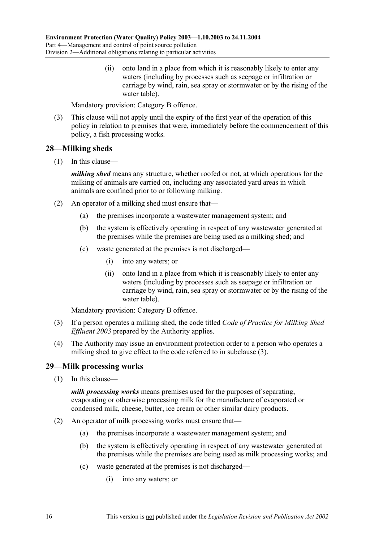(ii) onto land in a place from which it is reasonably likely to enter any waters (including by processes such as seepage or infiltration or carriage by wind, rain, sea spray or stormwater or by the rising of the water table).

Mandatory provision: Category B offence.

 (3) This clause will not apply until the expiry of the first year of the operation of this policy in relation to premises that were, immediately before the commencement of this policy, a fish processing works.

### **28—Milking sheds**

(1) In this clause—

*milking shed* means any structure, whether roofed or not, at which operations for the milking of animals are carried on, including any associated yard areas in which animals are confined prior to or following milking.

- (2) An operator of a milking shed must ensure that—
	- (a) the premises incorporate a wastewater management system; and
	- (b) the system is effectively operating in respect of any wastewater generated at the premises while the premises are being used as a milking shed; and
	- (c) waste generated at the premises is not discharged—
		- (i) into any waters; or
		- (ii) onto land in a place from which it is reasonably likely to enter any waters (including by processes such as seepage or infiltration or carriage by wind, rain, sea spray or stormwater or by the rising of the water table).

Mandatory provision: Category B offence.

- (3) If a person operates a milking shed, the code titled *Code of Practice for Milking Shed Effluent 2003* prepared by the Authority applies.
- (4) The Authority may issue an environment protection order to a person who operates a milking shed to give effect to the code referred to in subclause (3).

#### **29—Milk processing works**

(1) In this clause—

*milk processing works* means premises used for the purposes of separating, evaporating or otherwise processing milk for the manufacture of evaporated or condensed milk, cheese, butter, ice cream or other similar dairy products.

- (2) An operator of milk processing works must ensure that—
	- (a) the premises incorporate a wastewater management system; and
	- (b) the system is effectively operating in respect of any wastewater generated at the premises while the premises are being used as milk processing works; and
	- (c) waste generated at the premises is not discharged—
		- (i) into any waters; or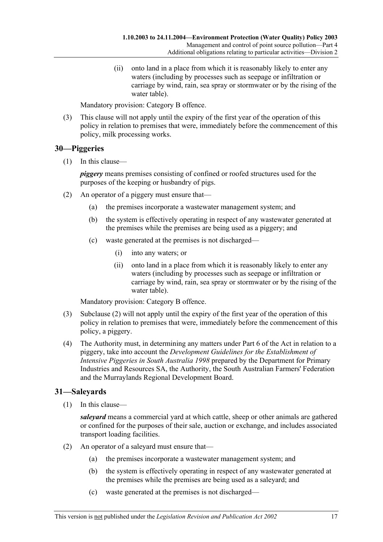(ii) onto land in a place from which it is reasonably likely to enter any waters (including by processes such as seepage or infiltration or carriage by wind, rain, sea spray or stormwater or by the rising of the water table).

Mandatory provision: Category B offence.

 (3) This clause will not apply until the expiry of the first year of the operation of this policy in relation to premises that were, immediately before the commencement of this policy, milk processing works.

#### **30—Piggeries**

(1) In this clause—

*piggery* means premises consisting of confined or roofed structures used for the purposes of the keeping or husbandry of pigs.

- (2) An operator of a piggery must ensure that—
	- (a) the premises incorporate a wastewater management system; and
	- (b) the system is effectively operating in respect of any wastewater generated at the premises while the premises are being used as a piggery; and
	- (c) waste generated at the premises is not discharged—
		- (i) into any waters; or
		- (ii) onto land in a place from which it is reasonably likely to enter any waters (including by processes such as seepage or infiltration or carriage by wind, rain, sea spray or stormwater or by the rising of the water table).

Mandatory provision: Category B offence.

- (3) Subclause (2) will not apply until the expiry of the first year of the operation of this policy in relation to premises that were, immediately before the commencement of this policy, a piggery.
- (4) The Authority must, in determining any matters under Part 6 of the Act in relation to a piggery, take into account the *Development Guidelines for the Establishment of Intensive Piggeries in South Australia 1998* prepared by the Department for Primary Industries and Resources SA, the Authority, the South Australian Farmers' Federation and the Murraylands Regional Development Board.

#### **31—Saleyards**

(1) In this clause—

*saleyard* means a commercial yard at which cattle, sheep or other animals are gathered or confined for the purposes of their sale, auction or exchange, and includes associated transport loading facilities.

- (2) An operator of a saleyard must ensure that—
	- (a) the premises incorporate a wastewater management system; and
	- (b) the system is effectively operating in respect of any wastewater generated at the premises while the premises are being used as a saleyard; and
	- (c) waste generated at the premises is not discharged—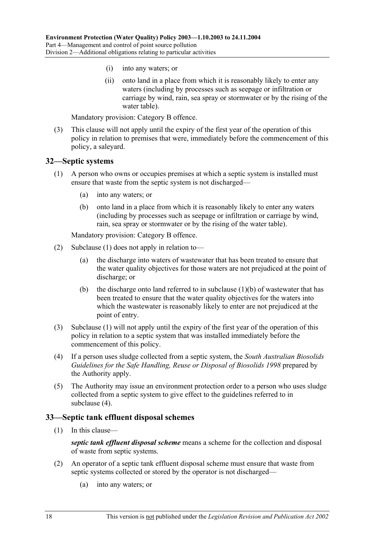- (i) into any waters; or
- (ii) onto land in a place from which it is reasonably likely to enter any waters (including by processes such as seepage or infiltration or carriage by wind, rain, sea spray or stormwater or by the rising of the water table).

Mandatory provision: Category B offence.

 (3) This clause will not apply until the expiry of the first year of the operation of this policy in relation to premises that were, immediately before the commencement of this policy, a saleyard.

#### **32—Septic systems**

- (1) A person who owns or occupies premises at which a septic system is installed must ensure that waste from the septic system is not discharged—
	- (a) into any waters; or
	- (b) onto land in a place from which it is reasonably likely to enter any waters (including by processes such as seepage or infiltration or carriage by wind, rain, sea spray or stormwater or by the rising of the water table).

Mandatory provision: Category B offence.

- (2) Subclause (1) does not apply in relation to—
	- (a) the discharge into waters of wastewater that has been treated to ensure that the water quality objectives for those waters are not prejudiced at the point of discharge; or
	- (b) the discharge onto land referred to in subclause  $(1)(b)$  of wastewater that has been treated to ensure that the water quality objectives for the waters into which the wastewater is reasonably likely to enter are not prejudiced at the point of entry.
- (3) Subclause (1) will not apply until the expiry of the first year of the operation of this policy in relation to a septic system that was installed immediately before the commencement of this policy.
- (4) If a person uses sludge collected from a septic system, the *South Australian Biosolids Guidelines for the Safe Handling, Reuse or Disposal of Biosolids 1998* prepared by the Authority apply.
- (5) The Authority may issue an environment protection order to a person who uses sludge collected from a septic system to give effect to the guidelines referred to in subclause (4).

#### **33—Septic tank effluent disposal schemes**

(1) In this clause—

*septic tank effluent disposal scheme* means a scheme for the collection and disposal of waste from septic systems.

- (2) An operator of a septic tank effluent disposal scheme must ensure that waste from septic systems collected or stored by the operator is not discharged—
	- (a) into any waters; or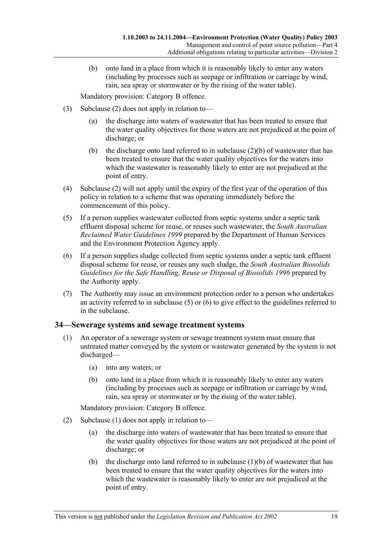(b) onto land in a place from which it is reasonably likely to enter any waters (including by processes such as seepage or infiltration or carriage by wind, rain, sea spray or stormwater or by the rising of the water table).

Mandatory provision: Category B offence.

- (3) Subclause (2) does not apply in relation to—
	- (a) the discharge into waters of wastewater that has been treated to ensure that the water quality objectives for those waters are not prejudiced at the point of discharge; or
	- (b) the discharge onto land referred to in subclause  $(2)(b)$  of wastewater that has been treated to ensure that the water quality objectives for the waters into which the wastewater is reasonably likely to enter are not prejudiced at the point of entry.
- (4) Subclause (2) will not apply until the expiry of the first year of the operation of this policy in relation to a scheme that was operating immediately before the commencement of this policy.
- (5) If a person supplies wastewater collected from septic systems under a septic tank effluent disposal scheme for reuse, or reuses such wastewater, the *South Australian Reclaimed Water Guidelines 1999* prepared by the Department of Human Services and the Environment Protection Agency apply.
- (6) If a person supplies sludge collected from septic systems under a septic tank effluent disposal scheme for reuse, or reuses any such sludge, the *South Australian Biosolids Guidelines for the Safe Handling, Reuse or Disposal of Biosolids 1996* prepared by the Authority apply.
- (7) The Authority may issue an environment protection order to a person who undertakes an activity referred to in subclause  $(5)$  or  $(6)$  to give effect to the guidelines referred to in the subclause.

#### **34—Sewerage systems and sewage treatment systems**

- (1) An operator of a sewerage system or sewage treatment system must ensure that untreated matter conveyed by the system or wastewater generated by the system is not discharged—
	- (a) into any waters; or
	- (b) onto land in a place from which it is reasonably likely to enter any waters (including by processes such as seepage or infiltration or carriage by wind, rain, sea spray or stormwater or by the rising of the water table).

Mandatory provision: Category B offence.

- (2) Subclause (1) does not apply in relation to—
	- (a) the discharge into waters of wastewater that has been treated to ensure that the water quality objectives for those waters are not prejudiced at the point of discharge; or
	- (b) the discharge onto land referred to in subclause  $(1)(b)$  of wastewater that has been treated to ensure that the water quality objectives for the waters into which the wastewater is reasonably likely to enter are not prejudiced at the point of entry.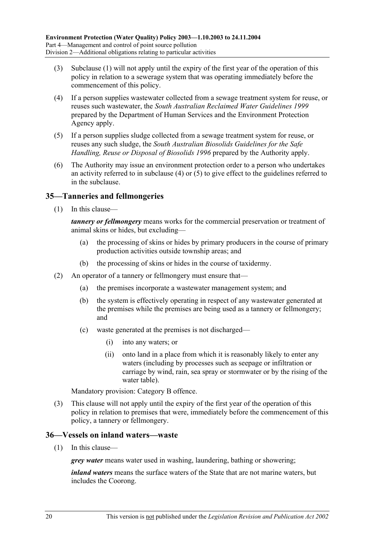- (3) Subclause (1) will not apply until the expiry of the first year of the operation of this policy in relation to a sewerage system that was operating immediately before the commencement of this policy.
- (4) If a person supplies wastewater collected from a sewage treatment system for reuse, or reuses such wastewater, the *South Australian Reclaimed Water Guidelines 1999* prepared by the Department of Human Services and the Environment Protection Agency apply.
- (5) If a person supplies sludge collected from a sewage treatment system for reuse, or reuses any such sludge, the *South Australian Biosolids Guidelines for the Safe Handling, Reuse or Disposal of Biosolids 1996* prepared by the Authority apply.
- (6) The Authority may issue an environment protection order to a person who undertakes an activity referred to in subclause (4) or (5) to give effect to the guidelines referred to in the subclause.

## **35—Tanneries and fellmongeries**

(1) In this clause—

*tannery or fellmongery* means works for the commercial preservation or treatment of animal skins or hides, but excluding—

- (a) the processing of skins or hides by primary producers in the course of primary production activities outside township areas; and
- (b) the processing of skins or hides in the course of taxidermy.
- (2) An operator of a tannery or fellmongery must ensure that—
	- (a) the premises incorporate a wastewater management system; and
	- (b) the system is effectively operating in respect of any wastewater generated at the premises while the premises are being used as a tannery or fellmongery; and
	- (c) waste generated at the premises is not discharged—
		- (i) into any waters; or
		- (ii) onto land in a place from which it is reasonably likely to enter any waters (including by processes such as seepage or infiltration or carriage by wind, rain, sea spray or stormwater or by the rising of the water table).

Mandatory provision: Category B offence.

 (3) This clause will not apply until the expiry of the first year of the operation of this policy in relation to premises that were, immediately before the commencement of this policy, a tannery or fellmongery.

#### **36—Vessels on inland waters—waste**

(1) In this clause—

*grey water* means water used in washing, laundering, bathing or showering;

*inland waters* means the surface waters of the State that are not marine waters, but includes the Coorong.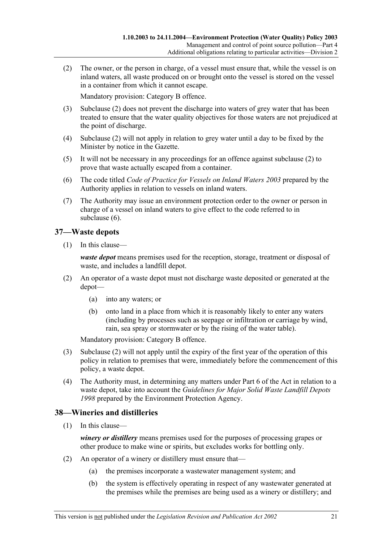(2) The owner, or the person in charge, of a vessel must ensure that, while the vessel is on inland waters, all waste produced on or brought onto the vessel is stored on the vessel in a container from which it cannot escape.

Mandatory provision: Category B offence.

- (3) Subclause (2) does not prevent the discharge into waters of grey water that has been treated to ensure that the water quality objectives for those waters are not prejudiced at the point of discharge.
- (4) Subclause (2) will not apply in relation to grey water until a day to be fixed by the Minister by notice in the Gazette.
- (5) It will not be necessary in any proceedings for an offence against subclause (2) to prove that waste actually escaped from a container.
- (6) The code titled *Code of Practice for Vessels on Inland Waters 2003* prepared by the Authority applies in relation to vessels on inland waters.
- (7) The Authority may issue an environment protection order to the owner or person in charge of a vessel on inland waters to give effect to the code referred to in subclause (6).

### **37—Waste depots**

(1) In this clause—

*waste depot* means premises used for the reception, storage, treatment or disposal of waste, and includes a landfill depot.

- (2) An operator of a waste depot must not discharge waste deposited or generated at the depot—
	- (a) into any waters; or
	- (b) onto land in a place from which it is reasonably likely to enter any waters (including by processes such as seepage or infiltration or carriage by wind, rain, sea spray or stormwater or by the rising of the water table).

Mandatory provision: Category B offence.

- (3) Subclause (2) will not apply until the expiry of the first year of the operation of this policy in relation to premises that were, immediately before the commencement of this policy, a waste depot.
- (4) The Authority must, in determining any matters under Part 6 of the Act in relation to a waste depot, take into account the *Guidelines for Major Solid Waste Landfill Depots 1998* prepared by the Environment Protection Agency.

## **38—Wineries and distilleries**

(1) In this clause—

*winery or distillery* means premises used for the purposes of processing grapes or other produce to make wine or spirits, but excludes works for bottling only.

- (2) An operator of a winery or distillery must ensure that—
	- (a) the premises incorporate a wastewater management system; and
	- (b) the system is effectively operating in respect of any wastewater generated at the premises while the premises are being used as a winery or distillery; and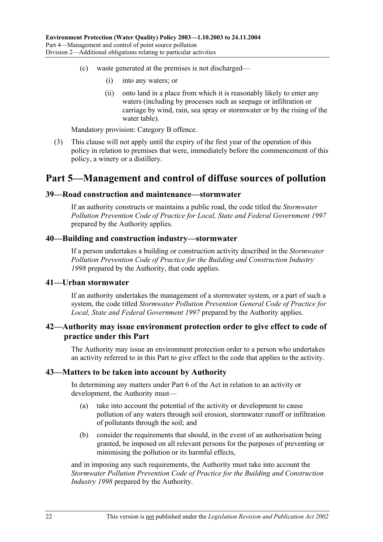- (c) waste generated at the premises is not discharged—
	- (i) into any waters; or
	- (ii) onto land in a place from which it is reasonably likely to enter any waters (including by processes such as seepage or infiltration or carriage by wind, rain, sea spray or stormwater or by the rising of the water table).

Mandatory provision: Category B offence.

 (3) This clause will not apply until the expiry of the first year of the operation of this policy in relation to premises that were, immediately before the commencement of this policy, a winery or a distillery.

## **Part 5—Management and control of diffuse sources of pollution**

#### **39—Road construction and maintenance—stormwater**

If an authority constructs or maintains a public road, the code titled the *Stormwater Pollution Prevention Code of Practice for Local, State and Federal Government 1997* prepared by the Authority applies.

### **40—Building and construction industry—stormwater**

If a person undertakes a building or construction activity described in the *Stormwater Pollution Prevention Code of Practice for the Building and Construction Industry 1998* prepared by the Authority, that code applies.

#### **41—Urban stormwater**

If an authority undertakes the management of a stormwater system, or a part of such a system, the code titled *Stormwater Pollution Prevention General Code of Practice for Local, State and Federal Government 1997* prepared by the Authority applies.

#### **42—Authority may issue environment protection order to give effect to code of practice under this Part**

The Authority may issue an environment protection order to a person who undertakes an activity referred to in this Part to give effect to the code that applies to the activity.

#### **43—Matters to be taken into account by Authority**

In determining any matters under Part 6 of the Act in relation to an activity or development, the Authority must—

- (a) take into account the potential of the activity or development to cause pollution of any waters through soil erosion, stormwater runoff or infiltration of pollutants through the soil; and
- (b) consider the requirements that should, in the event of an authorisation being granted, be imposed on all relevant persons for the purposes of preventing or minimising the pollution or its harmful effects,

and in imposing any such requirements, the Authority must take into account the *Stormwater Pollution Prevention Code of Practice for the Building and Construction Industry 1998* prepared by the Authority.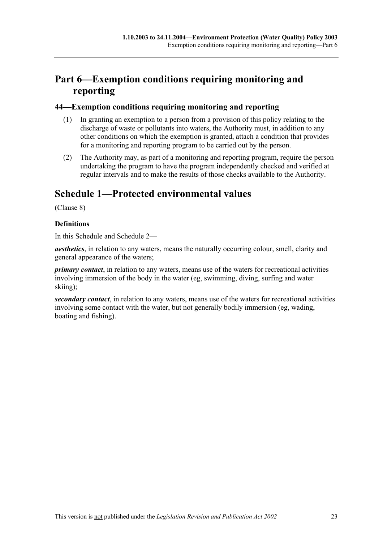# **Part 6—Exemption conditions requiring monitoring and reporting**

### **44—Exemption conditions requiring monitoring and reporting**

- (1) In granting an exemption to a person from a provision of this policy relating to the discharge of waste or pollutants into waters, the Authority must, in addition to any other conditions on which the exemption is granted, attach a condition that provides for a monitoring and reporting program to be carried out by the person.
- (2) The Authority may, as part of a monitoring and reporting program, require the person undertaking the program to have the program independently checked and verified at regular intervals and to make the results of those checks available to the Authority.

# **Schedule 1—Protected environmental values**

(Clause 8)

### **Definitions**

In this Schedule and Schedule 2—

*aesthetics*, in relation to any waters, means the naturally occurring colour, smell, clarity and general appearance of the waters;

*primary contact*, in relation to any waters, means use of the waters for recreational activities involving immersion of the body in the water (eg, swimming, diving, surfing and water skiing);

*secondary contact*, in relation to any waters, means use of the waters for recreational activities involving some contact with the water, but not generally bodily immersion (eg, wading, boating and fishing).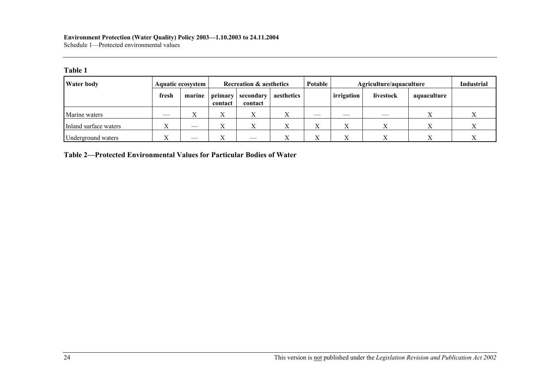#### **Environment Protection (Water Quality) Policy 2003—1.10.2003 to 24.11.2004**  Schedule 1—Protected environmental values

#### **Table 1**

| <b>Water body</b>     |              | Aquatic ecosystem         | <b>Recreation &amp; aesthetics</b> |                      |            | Potable                     | Agriculture/aquaculture |           |             | <b>Industrial</b> |
|-----------------------|--------------|---------------------------|------------------------------------|----------------------|------------|-----------------------------|-------------------------|-----------|-------------|-------------------|
|                       | fresh        | marine                    | primary<br>contact                 | secondary<br>contact | aesthetics |                             | irrigation              | livestock | aquaculture |                   |
| Marine waters         | __           | $\mathbf{v}$<br>$\Lambda$ | $\overline{ }$                     |                      |            |                             | __                      |           |             |                   |
| Inland surface waters | <b>TT</b>    |                           |                                    |                      |            | $\overline{f}$<br>$\Lambda$ |                         |           |             |                   |
| Underground waters    | $\mathbf{v}$ | $\overline{\phantom{a}}$  |                                    | $-$                  |            | $\overline{f}$<br>л         |                         |           |             |                   |

**Table 2—Protected Environmental Values for Particular Bodies of Water**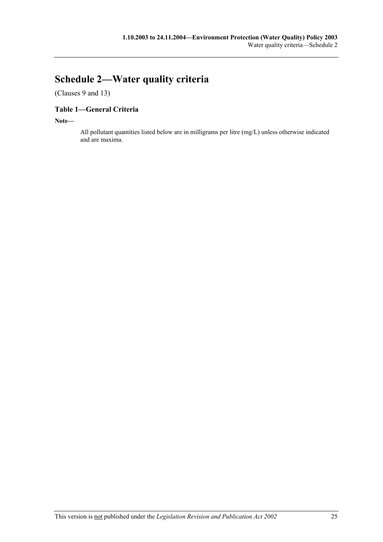# **Schedule 2—Water quality criteria**

(Clauses 9 and 13)

### **Table 1—General Criteria**

**Note—** 

All pollutant quantities listed below are in milligrams per litre (mg/L) unless otherwise indicated and are maxima.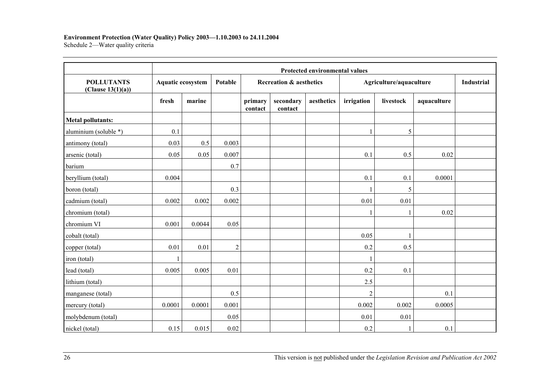#### **Environment Protection (Water Quality) Policy 2003—1.10.2003 to 24.11.2004**

Schedule 2—Water quality criteria

|                                        | <b>Protected environmental values</b> |                   |                |                         |                      |            |                         |           |             |                   |
|----------------------------------------|---------------------------------------|-------------------|----------------|-------------------------|----------------------|------------|-------------------------|-----------|-------------|-------------------|
| <b>POLLUTANTS</b><br>(Clause 13(1)(a)) |                                       | Aquatic ecosystem |                | Recreation & aesthetics |                      |            | Agriculture/aquaculture |           |             | <b>Industrial</b> |
|                                        | fresh                                 | marine            |                | primary<br>contact      | secondary<br>contact | aesthetics | irrigation              | livestock | aquaculture |                   |
| <b>Metal pollutants:</b>               |                                       |                   |                |                         |                      |            |                         |           |             |                   |
| aluminium (soluble *)                  | 0.1                                   |                   |                |                         |                      |            |                         | 5         |             |                   |
| antimony (total)                       | 0.03                                  | 0.5               | 0.003          |                         |                      |            |                         |           |             |                   |
| arsenic (total)                        | 0.05                                  | 0.05              | 0.007          |                         |                      |            | 0.1                     | 0.5       | 0.02        |                   |
| barium                                 |                                       |                   | 0.7            |                         |                      |            |                         |           |             |                   |
| beryllium (total)                      | 0.004                                 |                   |                |                         |                      |            | 0.1                     | 0.1       | 0.0001      |                   |
| boron (total)                          |                                       |                   | 0.3            |                         |                      |            |                         | 5         |             |                   |
| cadmium (total)                        | 0.002                                 | 0.002             | 0.002          |                         |                      |            | 0.01                    | 0.01      |             |                   |
| chromium (total)                       |                                       |                   |                |                         |                      |            |                         |           | 0.02        |                   |
| chromium VI                            | 0.001                                 | 0.0044            | 0.05           |                         |                      |            |                         |           |             |                   |
| cobalt (total)                         |                                       |                   |                |                         |                      |            | 0.05                    |           |             |                   |
| copper (total)                         | 0.01                                  | 0.01              | $\overline{c}$ |                         |                      |            | 0.2                     | 0.5       |             |                   |
| iron (total)                           |                                       |                   |                |                         |                      |            | $\mathbf{1}$            |           |             |                   |
| lead (total)                           | 0.005                                 | 0.005             | 0.01           |                         |                      |            | 0.2                     | 0.1       |             |                   |
| lithium (total)                        |                                       |                   |                |                         |                      |            | 2.5                     |           |             |                   |
| manganese (total)                      |                                       |                   | 0.5            |                         |                      |            | $\overline{2}$          |           | 0.1         |                   |
| mercury (total)                        | 0.0001                                | 0.0001            | 0.001          |                         |                      |            | 0.002                   | 0.002     | 0.0005      |                   |
| molybdenum (total)                     |                                       |                   | 0.05           |                         |                      |            | 0.01                    | 0.01      |             |                   |
| nickel (total)                         | 0.15                                  | 0.015             | 0.02           |                         |                      |            | 0.2                     |           | 0.1         |                   |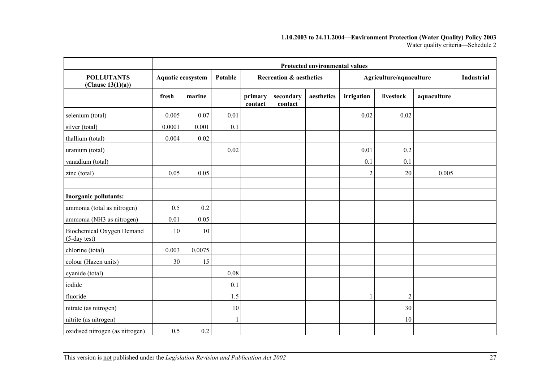#### **1.10.2003 to 24.11.2004—Environment Protection (Water Quality) Policy 2003**  Water quality criteria—Schedule 2

|                                           | Protected environmental values |        |      |                    |                                    |            |                |                         |             |                   |  |
|-------------------------------------------|--------------------------------|--------|------|--------------------|------------------------------------|------------|----------------|-------------------------|-------------|-------------------|--|
| <b>POLLUTANTS</b><br>(Clause 13(1)(a))    | Aquatic ecosystem<br>Potable   |        |      |                    | <b>Recreation &amp; aesthetics</b> |            |                | Agriculture/aquaculture |             | <b>Industrial</b> |  |
|                                           | fresh                          | marine |      | primary<br>contact | secondary<br>contact               | aesthetics | irrigation     | livestock               | aquaculture |                   |  |
| selenium (total)                          | 0.005                          | 0.07   | 0.01 |                    |                                    |            | 0.02           | 0.02                    |             |                   |  |
| silver (total)                            | 0.0001                         | 0.001  | 0.1  |                    |                                    |            |                |                         |             |                   |  |
| thallium (total)                          | 0.004                          | 0.02   |      |                    |                                    |            |                |                         |             |                   |  |
| uranium (total)                           |                                |        | 0.02 |                    |                                    |            | 0.01           | 0.2                     |             |                   |  |
| vanadium (total)                          |                                |        |      |                    |                                    |            | 0.1            | 0.1                     |             |                   |  |
| zinc (total)                              | 0.05                           | 0.05   |      |                    |                                    |            | $\overline{2}$ | 20                      | 0.005       |                   |  |
|                                           |                                |        |      |                    |                                    |            |                |                         |             |                   |  |
| Inorganic pollutants:                     |                                |        |      |                    |                                    |            |                |                         |             |                   |  |
| ammonia (total as nitrogen)               | 0.5                            | 0.2    |      |                    |                                    |            |                |                         |             |                   |  |
| ammonia (NH3 as nitrogen)                 | 0.01                           | 0.05   |      |                    |                                    |            |                |                         |             |                   |  |
| Biochemical Oxygen Demand<br>(5-day test) | 10                             | 10     |      |                    |                                    |            |                |                         |             |                   |  |
| chlorine (total)                          | 0.003                          | 0.0075 |      |                    |                                    |            |                |                         |             |                   |  |
| colour (Hazen units)                      | 30                             | 15     |      |                    |                                    |            |                |                         |             |                   |  |
| cyanide (total)                           |                                |        | 0.08 |                    |                                    |            |                |                         |             |                   |  |
| iodide                                    |                                |        | 0.1  |                    |                                    |            |                |                         |             |                   |  |
| fluoride                                  |                                |        | 1.5  |                    |                                    |            |                | $\overline{2}$          |             |                   |  |
| nitrate (as nitrogen)                     |                                |        | 10   |                    |                                    |            |                | 30                      |             |                   |  |
| nitrite (as nitrogen)                     |                                |        |      |                    |                                    |            |                | 10                      |             |                   |  |
| oxidised nitrogen (as nitrogen)           | 0.5                            | 0.2    |      |                    |                                    |            |                |                         |             |                   |  |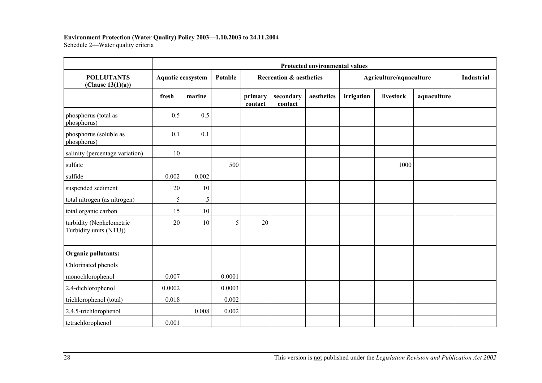#### **Environment Protection (Water Quality) Policy 2003—1.10.2003 to 24.11.2004**

Schedule 2—Water quality criteria

|                                                    | Protected environmental values |                   |        |                                    |                      |            |                         |           |             |                   |
|----------------------------------------------------|--------------------------------|-------------------|--------|------------------------------------|----------------------|------------|-------------------------|-----------|-------------|-------------------|
| <b>POLLUTANTS</b><br>(Clause $13(1)(a)$ )          |                                | Aquatic ecosystem |        | <b>Recreation &amp; aesthetics</b> |                      |            | Agriculture/aquaculture |           |             | <b>Industrial</b> |
|                                                    | fresh                          | marine            |        | primary<br>contact                 | secondary<br>contact | aesthetics | irrigation              | livestock | aquaculture |                   |
| phosphorus (total as<br>phosphorus)                | 0.5                            | 0.5               |        |                                    |                      |            |                         |           |             |                   |
| phosphorus (soluble as<br>phosphorus)              | 0.1                            | 0.1               |        |                                    |                      |            |                         |           |             |                   |
| salinity (percentage variation)                    | 10                             |                   |        |                                    |                      |            |                         |           |             |                   |
| sulfate                                            |                                |                   | 500    |                                    |                      |            |                         | 1000      |             |                   |
| sulfide                                            | 0.002                          | 0.002             |        |                                    |                      |            |                         |           |             |                   |
| suspended sediment                                 | 20                             | 10                |        |                                    |                      |            |                         |           |             |                   |
| total nitrogen (as nitrogen)                       | 5                              | 5                 |        |                                    |                      |            |                         |           |             |                   |
| total organic carbon                               | 15                             | 10                |        |                                    |                      |            |                         |           |             |                   |
| turbidity (Nephelometric<br>Turbidity units (NTU)) | 20                             | 10                | 5      | 20                                 |                      |            |                         |           |             |                   |
|                                                    |                                |                   |        |                                    |                      |            |                         |           |             |                   |
| Organic pollutants:                                |                                |                   |        |                                    |                      |            |                         |           |             |                   |
| Chlorinated phenols                                |                                |                   |        |                                    |                      |            |                         |           |             |                   |
| monochlorophenol                                   | 0.007                          |                   | 0.0001 |                                    |                      |            |                         |           |             |                   |
| 2,4-dichlorophenol                                 | 0.0002                         |                   | 0.0003 |                                    |                      |            |                         |           |             |                   |
| trichlorophenol (total)                            | 0.018                          |                   | 0.002  |                                    |                      |            |                         |           |             |                   |
| 2,4,5-trichlorophenol                              |                                | 0.008             | 0.002  |                                    |                      |            |                         |           |             |                   |
| tetrachlorophenol                                  | 0.001                          |                   |        |                                    |                      |            |                         |           |             |                   |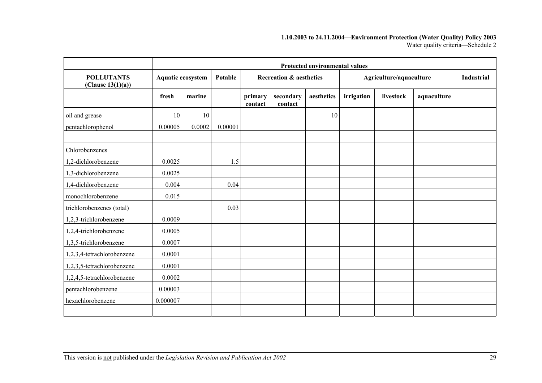#### **1.10.2003 to 24.11.2004—Environment Protection (Water Quality) Policy 2003**  Water quality criteria—Schedule 2

|                                        | <b>Protected environmental values</b> |                          |         |                    |                                    |            |            |                         |             |  |
|----------------------------------------|---------------------------------------|--------------------------|---------|--------------------|------------------------------------|------------|------------|-------------------------|-------------|--|
| <b>POLLUTANTS</b><br>(Clause 13(1)(a)) |                                       | <b>Aquatic ecosystem</b> | Potable |                    | <b>Recreation &amp; aesthetics</b> |            |            | Agriculture/aquaculture |             |  |
|                                        | fresh                                 | marine                   |         | primary<br>contact | secondary<br>contact               | aesthetics | irrigation | livestock               | aquaculture |  |
| oil and grease                         | 10                                    | 10                       |         |                    |                                    | 10         |            |                         |             |  |
| pentachlorophenol                      | 0.00005                               | 0.0002                   | 0.00001 |                    |                                    |            |            |                         |             |  |
| Chlorobenzenes                         |                                       |                          |         |                    |                                    |            |            |                         |             |  |
| 1,2-dichlorobenzene                    | 0.0025                                |                          | 1.5     |                    |                                    |            |            |                         |             |  |
| 1,3-dichlorobenzene                    | 0.0025                                |                          |         |                    |                                    |            |            |                         |             |  |
| 1,4-dichlorobenzene                    | 0.004                                 |                          | 0.04    |                    |                                    |            |            |                         |             |  |
| monochlorobenzene                      | 0.015                                 |                          |         |                    |                                    |            |            |                         |             |  |
| trichlorobenzenes (total)              |                                       |                          | 0.03    |                    |                                    |            |            |                         |             |  |
| 1,2,3-trichlorobenzene                 | 0.0009                                |                          |         |                    |                                    |            |            |                         |             |  |
| 1,2,4-trichlorobenzene                 | 0.0005                                |                          |         |                    |                                    |            |            |                         |             |  |
| 1,3,5-trichlorobenzene                 | 0.0007                                |                          |         |                    |                                    |            |            |                         |             |  |
| 1,2,3,4-tetrachlorobenzene             | 0.0001                                |                          |         |                    |                                    |            |            |                         |             |  |
| 1,2,3,5-tetrachlorobenzene             | 0.0001                                |                          |         |                    |                                    |            |            |                         |             |  |
| 1,2,4,5-tetrachlorobenzene             | 0.0002                                |                          |         |                    |                                    |            |            |                         |             |  |
| pentachlorobenzene                     | 0.00003                               |                          |         |                    |                                    |            |            |                         |             |  |
| hexachlorobenzene                      | 0.000007                              |                          |         |                    |                                    |            |            |                         |             |  |
|                                        |                                       |                          |         |                    |                                    |            |            |                         |             |  |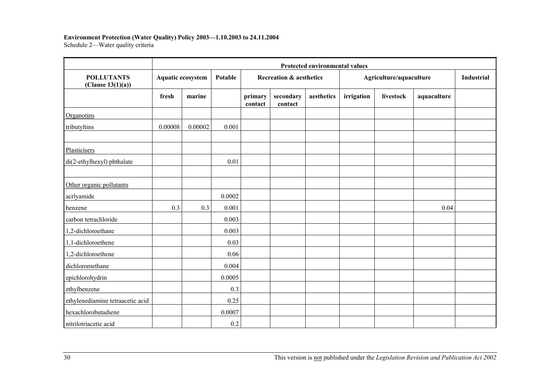#### **Environment Protection (Water Quality) Policy 2003—1.10.2003 to 24.11.2004**

Schedule 2—Water quality criteria

|                                        | Protected environmental values |         |         |                                    |                      |            |                         |           |             |            |  |  |
|----------------------------------------|--------------------------------|---------|---------|------------------------------------|----------------------|------------|-------------------------|-----------|-------------|------------|--|--|
| <b>POLLUTANTS</b><br>(Clause 13(1)(a)) | <b>Aquatic ecosystem</b>       |         | Potable | <b>Recreation &amp; aesthetics</b> |                      |            | Agriculture/aquaculture |           |             | Industrial |  |  |
|                                        | fresh                          | marine  |         | primary<br>contact                 | secondary<br>contact | aesthetics | irrigation              | livestock | aquaculture |            |  |  |
| Organotins                             |                                |         |         |                                    |                      |            |                         |           |             |            |  |  |
| tributyltins                           | 0.00008                        | 0.00002 | 0.001   |                                    |                      |            |                         |           |             |            |  |  |
| Plasticisers                           |                                |         |         |                                    |                      |            |                         |           |             |            |  |  |
| di(2-ethylhexyl) phthalate             |                                |         | 0.01    |                                    |                      |            |                         |           |             |            |  |  |
| Other organic pollutants               |                                |         |         |                                    |                      |            |                         |           |             |            |  |  |
| acrlyamide                             |                                |         | 0.0002  |                                    |                      |            |                         |           |             |            |  |  |
| benzene                                | 0.3                            | 0.3     | 0.001   |                                    |                      |            |                         |           | 0.04        |            |  |  |
| carbon tetrachloride                   |                                |         | 0.003   |                                    |                      |            |                         |           |             |            |  |  |
| 1,2-dichloroethane                     |                                |         | 0.003   |                                    |                      |            |                         |           |             |            |  |  |
| 1,1-dichloroethene                     |                                |         | 0.03    |                                    |                      |            |                         |           |             |            |  |  |
| 1,2-dichloroethene                     |                                |         | 0.06    |                                    |                      |            |                         |           |             |            |  |  |
| dichloromethane                        |                                |         | 0.004   |                                    |                      |            |                         |           |             |            |  |  |
| epichlorohydrin                        |                                |         | 0.0005  |                                    |                      |            |                         |           |             |            |  |  |
| ethylbenzene                           |                                |         | 0.3     |                                    |                      |            |                         |           |             |            |  |  |
| ethylenediamine tetraacetic acid       |                                |         | 0.25    |                                    |                      |            |                         |           |             |            |  |  |
| hexachlorobutadiene                    |                                |         | 0.0007  |                                    |                      |            |                         |           |             |            |  |  |
| nitrilotriacetic acid                  |                                |         | 0.2     |                                    |                      |            |                         |           |             |            |  |  |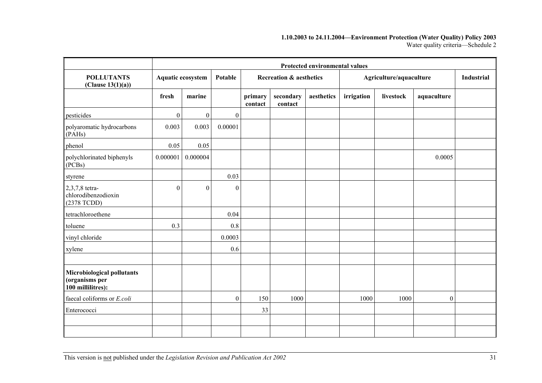#### **1.10.2003 to 24.11.2004—Environment Protection (Water Quality) Policy 2003**  Water quality criteria—Schedule 2

|                                                                   | <b>Protected environmental values</b> |                          |                  |                                    |                      |            |            |                         |                  |                   |
|-------------------------------------------------------------------|---------------------------------------|--------------------------|------------------|------------------------------------|----------------------|------------|------------|-------------------------|------------------|-------------------|
| <b>POLLUTANTS</b><br>(Clause $13(1)(a)$ )                         |                                       | <b>Aquatic ecosystem</b> | Potable          | <b>Recreation &amp; aesthetics</b> |                      |            |            | Agriculture/aquaculture |                  | <b>Industrial</b> |
|                                                                   | fresh                                 | marine                   |                  | primary<br>contact                 | secondary<br>contact | aesthetics | irrigation | livestock               | aquaculture      |                   |
| pesticides                                                        | $\overline{0}$                        | $\boldsymbol{0}$         | $\boldsymbol{0}$ |                                    |                      |            |            |                         |                  |                   |
| polyaromatic hydrocarbons<br>(PAHs)                               | 0.003                                 | 0.003                    | 0.00001          |                                    |                      |            |            |                         |                  |                   |
| phenol                                                            | 0.05                                  | 0.05                     |                  |                                    |                      |            |            |                         |                  |                   |
| polychlorinated biphenyls<br>(PCBs)                               | 0.000001                              | 0.000004                 |                  |                                    |                      |            |            |                         | 0.0005           |                   |
| styrene                                                           |                                       |                          | 0.03             |                                    |                      |            |            |                         |                  |                   |
| 2,3,7,8 tetra-<br>chlorodibenzodioxin<br>(2378 TCDD)              | $\overline{0}$                        | $\boldsymbol{0}$         | $\boldsymbol{0}$ |                                    |                      |            |            |                         |                  |                   |
| tetrachloroethene                                                 |                                       |                          | 0.04             |                                    |                      |            |            |                         |                  |                   |
| toluene                                                           | 0.3                                   |                          | 0.8              |                                    |                      |            |            |                         |                  |                   |
| vinyl chloride                                                    |                                       |                          | 0.0003           |                                    |                      |            |            |                         |                  |                   |
| xylene                                                            |                                       |                          | 0.6              |                                    |                      |            |            |                         |                  |                   |
|                                                                   |                                       |                          |                  |                                    |                      |            |            |                         |                  |                   |
| Microbiological pollutants<br>(organisms per<br>100 millilitres): |                                       |                          |                  |                                    |                      |            |            |                         |                  |                   |
| faecal coliforms or E.coli                                        |                                       |                          | $\boldsymbol{0}$ | 150                                | 1000                 |            | 1000       | 1000                    | $\boldsymbol{0}$ |                   |
| Enterococci                                                       |                                       |                          |                  | 33                                 |                      |            |            |                         |                  |                   |
|                                                                   |                                       |                          |                  |                                    |                      |            |            |                         |                  |                   |
|                                                                   |                                       |                          |                  |                                    |                      |            |            |                         |                  |                   |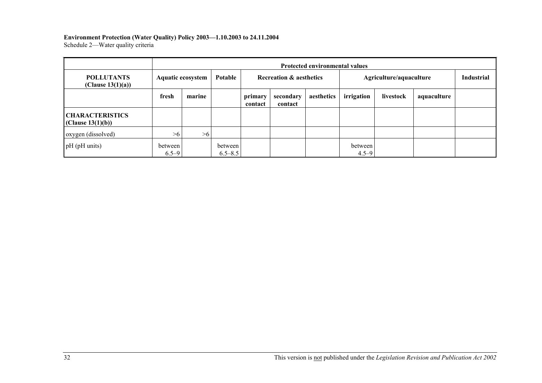# **Environment Protection (Water Quality) Policy 2003—1.10.2003 to 24.11.2004**

Schedule 2—Water quality criteria

|                                             | <b>Protected environmental values</b> |        |                        |                                    |                      |            |                         |           |             |                   |
|---------------------------------------------|---------------------------------------|--------|------------------------|------------------------------------|----------------------|------------|-------------------------|-----------|-------------|-------------------|
| <b>POLLUTANTS</b><br>(Clause $13(1)(a)$ )   | Potable<br><b>Aquatic ecosystem</b>   |        |                        | <b>Recreation &amp; aesthetics</b> |                      |            | Agriculture/aquaculture |           |             | <b>Industrial</b> |
|                                             | fresh                                 | marine |                        | primary<br>contact                 | secondary<br>contact | aesthetics | irrigation              | livestock | aquaculture |                   |
| <b>CHARACTERISTICS</b><br>(Clause 13(1)(b)) |                                       |        |                        |                                    |                      |            |                         |           |             |                   |
| oxygen (dissolved)                          | >6                                    | >6     |                        |                                    |                      |            |                         |           |             |                   |
| pH (pH units)                               | between<br>$6.5 - 9$                  |        | between<br>$6.5 - 8.5$ |                                    |                      |            | between<br>$4.5 - 9$    |           |             |                   |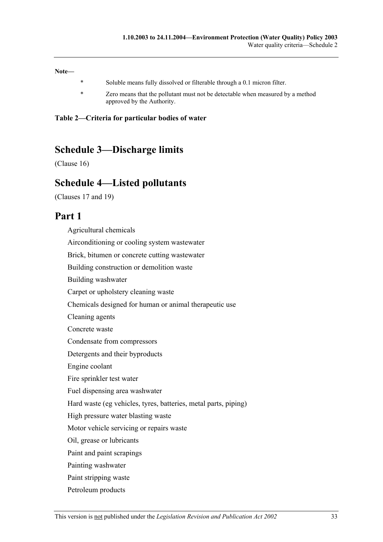**Note—**

- \* Soluble means fully dissolved or filterable through a 0.1 micron filter.
- \* Zero means that the pollutant must not be detectable when measured by a method approved by the Authority.

**Table 2—Criteria for particular bodies of water**

## **Schedule 3—Discharge limits**

(Clause 16)

## **Schedule 4—Listed pollutants**

(Clauses 17 and 19)

## **Part 1**

Agricultural chemicals Airconditioning or cooling system wastewater Brick, bitumen or concrete cutting wastewater Building construction or demolition waste Building washwater Carpet or upholstery cleaning waste Chemicals designed for human or animal therapeutic use Cleaning agents Concrete waste Condensate from compressors Detergents and their byproducts Engine coolant Fire sprinkler test water Fuel dispensing area washwater Hard waste (eg vehicles, tyres, batteries, metal parts, piping) High pressure water blasting waste Motor vehicle servicing or repairs waste Oil, grease or lubricants Paint and paint scrapings Painting washwater Paint stripping waste Petroleum products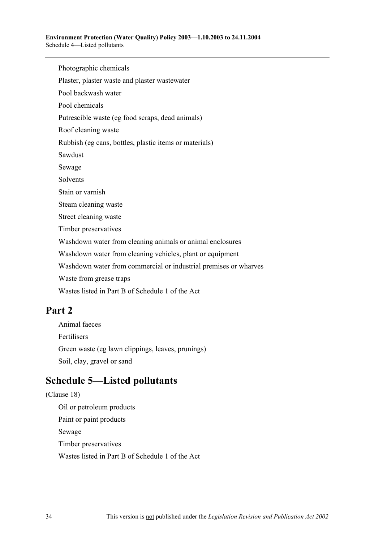Photographic chemicals

Plaster, plaster waste and plaster wastewater

Pool backwash water

Pool chemicals

Putrescible waste (eg food scraps, dead animals)

Roof cleaning waste

Rubbish (eg cans, bottles, plastic items or materials)

Sawdust

Sewage

Solvents

Stain or varnish

Steam cleaning waste

Street cleaning waste

Timber preservatives

Washdown water from cleaning animals or animal enclosures

Washdown water from cleaning vehicles, plant or equipment

Washdown water from commercial or industrial premises or wharves

Waste from grease traps

Wastes listed in Part B of Schedule 1 of the Act

## **Part 2**

Animal faeces Fertilisers Green waste (eg lawn clippings, leaves, prunings) Soil, clay, gravel or sand

# **Schedule 5—Listed pollutants**

(Clause 18) Oil or petroleum products Paint or paint products Sewage Timber preservatives Wastes listed in Part B of Schedule 1 of the Act